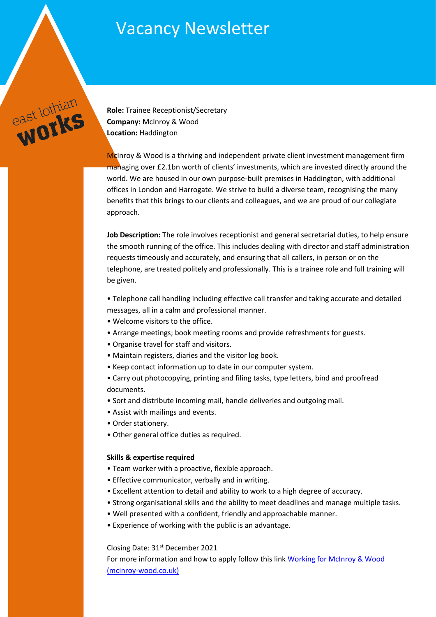# **Vacancy Newsletter**

**Role:** Trainee Receptionist/Secretary **Company:** McInroy & Wood **Location:** Haddington

east lothian

McInroy & Wood is a thriving and independent private client investment management firm managing over £2.1bn worth of clients' investments, which are invested directly around the world. We are housed in our own purpose-built premises in Haddington, with additional offices in London and Harrogate. We strive to build a diverse team, recognising the many benefits that this brings to our clients and colleagues, and we are proud of our collegiate approach.

**Job Description:** The role involves receptionist and general secretarial duties, to help ensure the smooth running of the office. This includes dealing with director and staff administration requests timeously and accurately, and ensuring that all callers, in person or on the telephone, are treated politely and professionally. This is a trainee role and full training will be given.

• Telephone call handling including effective call transfer and taking accurate and detailed messages, all in a calm and professional manner.

- Welcome visitors to the office.
- Arrange meetings; book meeting rooms and provide refreshments for guests.
- Organise travel for staff and visitors.
- Maintain registers, diaries and the visitor log book.
- Keep contact information up to date in our computer system.
- Carry out photocopying, printing and filing tasks, type letters, bind and proofread documents.
- Sort and distribute incoming mail, handle deliveries and outgoing mail.
- Assist with mailings and events.
- Order stationery.
- Other general office duties as required.

# **Skills & expertise required**

- Team worker with a proactive, flexible approach.
- Effective communicator, verbally and in writing.
- Excellent attention to detail and ability to work to a high degree of accuracy.
- Strong organisational skills and the ability to meet deadlines and manage multiple tasks.
- Well presented with a confident, friendly and approachable manner.
- Experience of working with the public is an advantage.

# Closing Date: 31st December 2021

For more information and how to apply follow this lin[k Working for McInroy & Wood](https://www.mcinroy-wood.co.uk/about-us/working-for-mcinroy-and-wood)  [\(mcinroy-wood.co.uk\)](https://www.mcinroy-wood.co.uk/about-us/working-for-mcinroy-and-wood)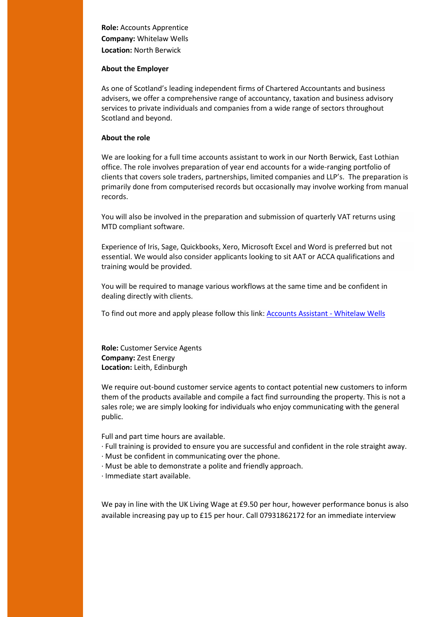**Role:** Accounts Apprentice **Company:** Whitelaw Wells **Location:** North Berwick

#### **About the Employer**

As one of Scotland's leading independent firms of Chartered Accountants and business advisers, we offer a comprehensive range of accountancy, taxation and business advisory services to private individuals and companies from a wide range of sectors throughout Scotland and beyond.

# **About the role**

We are looking for a full time accounts assistant to work in our North Berwick, East Lothian office. The role involves preparation of year end accounts for a wide-ranging portfolio of clients that covers sole traders, partnerships, limited companies and LLP's. The preparation is primarily done from computerised records but occasionally may involve working from manual records.

You will also be involved in the preparation and submission of quarterly VAT returns using MTD compliant software.

Experience of Iris, Sage, Quickbooks, Xero, Microsoft Excel and Word is preferred but not essential. We would also consider applicants looking to sit AAT or ACCA qualifications and training would be provided.

You will be required to manage various workflows at the same time and be confident in dealing directly with clients.

To find out more and apply please follow this link: [Accounts Assistant -](https://www.whitelawwells.co.uk/careers/current-vacancy/accounts-assistant/) Whitelaw Wells

**Role:** Customer Service Agents **Company:** Zest Energy **Location:** Leith, Edinburgh

We require out-bound customer service agents to contact potential new customers to inform them of the products available and compile a fact find surrounding the property. This is not a sales role; we are simply looking for individuals who enjoy communicating with the general public.

Full and part time hours are available.

- · Full training is provided to ensure you are successful and confident in the role straight away.
- · Must be confident in communicating over the phone.
- · Must be able to demonstrate a polite and friendly approach.
- · Immediate start available.

We pay in line with the UK Living Wage at £9.50 per hour, however performance bonus is also available increasing pay up to £15 per hour. Call 07931862172 for an immediate interview